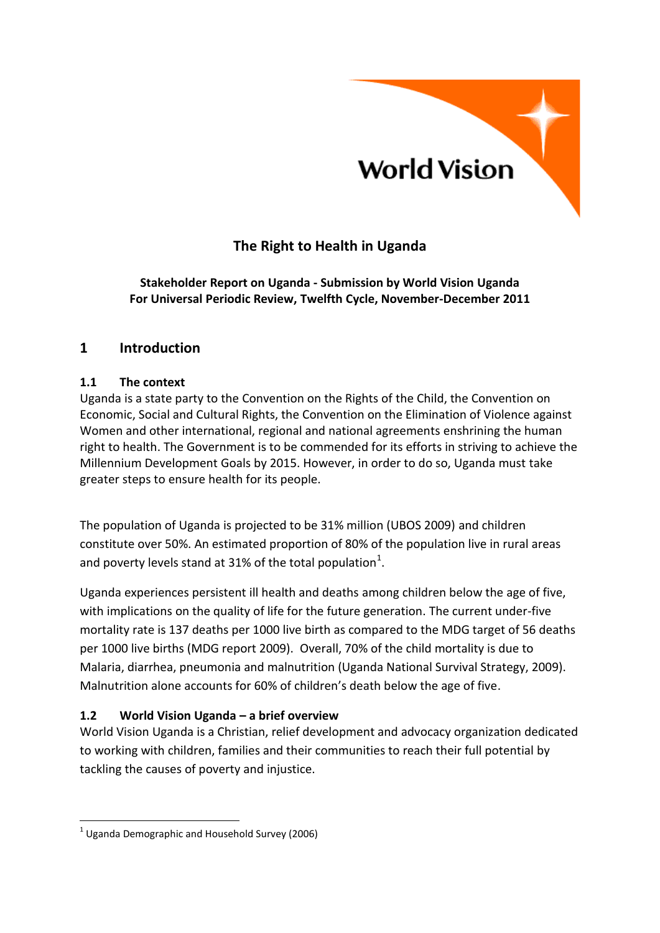

# **The Right to Health in Uganda**

**Stakeholder Report on Uganda - Submission by World Vision Uganda For Universal Periodic Review, Twelfth Cycle, November-December 2011**

### **1 Introduction**

#### **1.1 The context**

Uganda is a state party to the Convention on the Rights of the Child, the Convention on Economic, Social and Cultural Rights, the Convention on the Elimination of Violence against Women and other international, regional and national agreements enshrining the human right to health. The Government is to be commended for its efforts in striving to achieve the Millennium Development Goals by 2015. However, in order to do so, Uganda must take greater steps to ensure health for its people.

The population of Uganda is projected to be 31% million (UBOS 2009) and children constitute over 50%. An estimated proportion of 80% of the population live in rural areas and poverty levels stand at 31% of the total population<sup>1</sup>.

Uganda experiences persistent ill health and deaths among children below the age of five, with implications on the quality of life for the future generation. The current under-five mortality rate is 137 deaths per 1000 live birth as compared to the MDG target of 56 deaths per 1000 live births (MDG report 2009). Overall, 70% of the child mortality is due to Malaria, diarrhea, pneumonia and malnutrition (Uganda National Survival Strategy, 2009). Malnutrition alone accounts for 60% of children's death below the age of five.

#### **1.2 World Vision Uganda – a brief overview**

World Vision Uganda is a Christian, relief development and advocacy organization dedicated to working with children, families and their communities to reach their full potential by tackling the causes of poverty and injustice.

1

 $<sup>1</sup>$  Uganda Demographic and Household Survey (2006)</sup>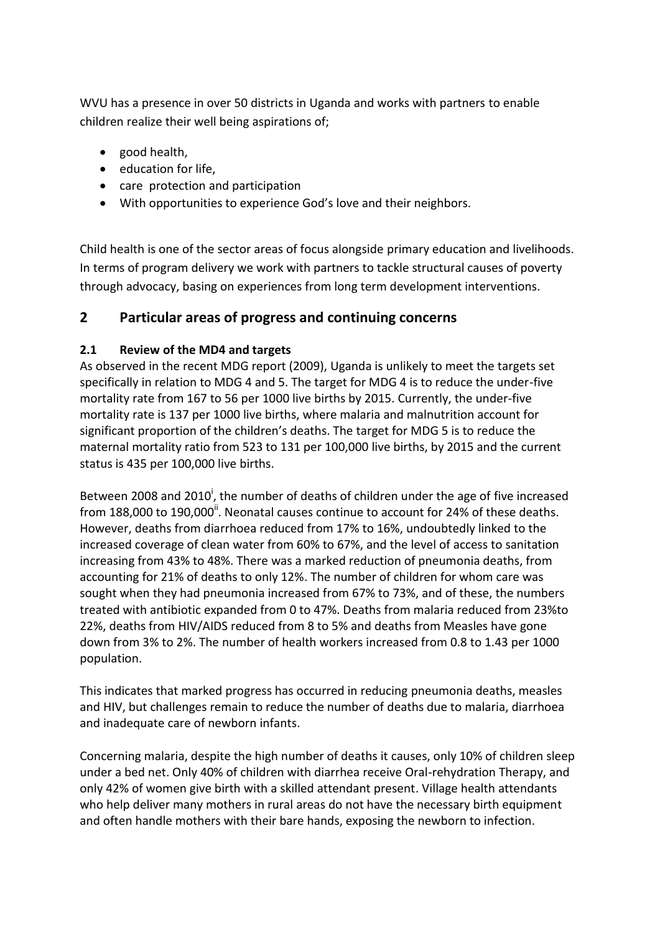WVU has a presence in over 50 districts in Uganda and works with partners to enable children realize their well being aspirations of;

- good health.
- education for life,
- care protection and participation
- With opportunities to experience God's love and their neighbors.

Child health is one of the sector areas of focus alongside primary education and livelihoods. In terms of program delivery we work with partners to tackle structural causes of poverty through advocacy, basing on experiences from long term development interventions.

## **2 Particular areas of progress and continuing concerns**

#### **2.1 Review of the MD4 and targets**

As observed in the recent MDG report (2009), Uganda is unlikely to meet the targets set specifically in relation to MDG 4 and 5. The target for MDG 4 is to reduce the under-five mortality rate from 167 to 56 per 1000 live births by 2015. Currently, the under-five mortality rate is 137 per 1000 live births, where malaria and malnutrition account for significant proportion of the children's deaths. The target for MDG 5 is to reduce the maternal mortality ratio from 523 to 131 per 100,000 live births, by 2015 and the current status is 435 per 100,000 live births.

Between 2008 and 2010<sup>i</sup>, the number of deaths of children under the age of five increased from 188,000 to 190,000<sup>ii</sup>. Neonatal causes continue to account for 24% of these deaths. However, deaths from diarrhoea reduced from 17% to 16%, undoubtedly linked to the increased coverage of clean water from 60% to 67%, and the level of access to sanitation increasing from 43% to 48%. There was a marked reduction of pneumonia deaths, from accounting for 21% of deaths to only 12%. The number of children for whom care was sought when they had pneumonia increased from 67% to 73%, and of these, the numbers treated with antibiotic expanded from 0 to 47%. Deaths from malaria reduced from 23%to 22%, deaths from HIV/AIDS reduced from 8 to 5% and deaths from Measles have gone down from 3% to 2%. The number of health workers increased from 0.8 to 1.43 per 1000 population.

This indicates that marked progress has occurred in reducing pneumonia deaths, measles and HIV, but challenges remain to reduce the number of deaths due to malaria, diarrhoea and inadequate care of newborn infants.

Concerning malaria, despite the high number of deaths it causes, only 10% of children sleep under a bed net. Only 40% of children with diarrhea receive Oral-rehydration Therapy, and only 42% of women give birth with a skilled attendant present. Village health attendants who help deliver many mothers in rural areas do not have the necessary birth equipment and often handle mothers with their bare hands, exposing the newborn to infection.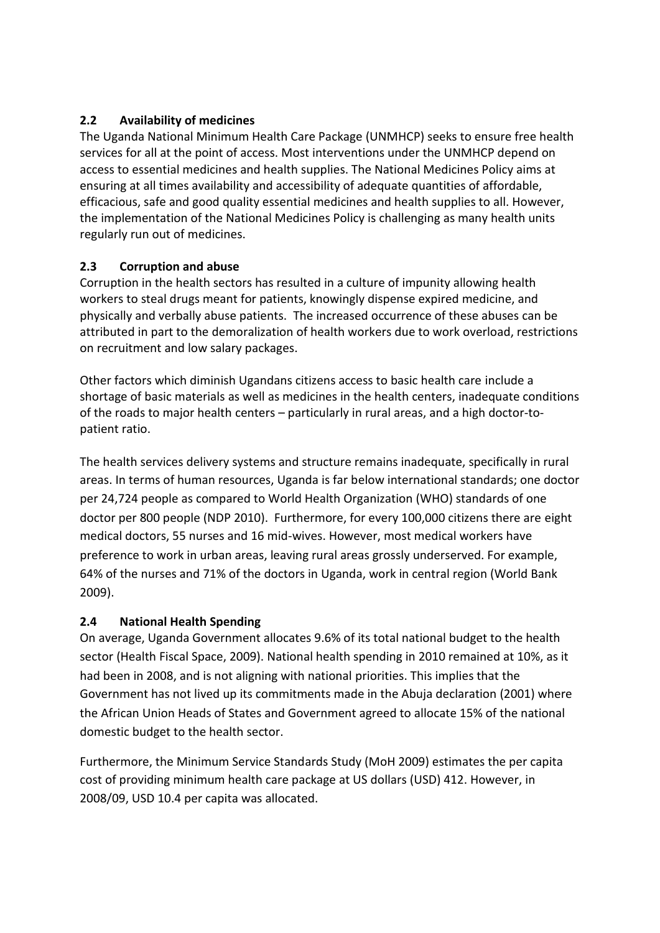#### **2.2 Availability of medicines**

The Uganda National Minimum Health Care Package (UNMHCP) seeks to ensure free health services for all at the point of access. Most interventions under the UNMHCP depend on access to essential medicines and health supplies. The National Medicines Policy aims at ensuring at all times availability and accessibility of adequate quantities of affordable, efficacious, safe and good quality essential medicines and health supplies to all. However, the implementation of the National Medicines Policy is challenging as many health units regularly run out of medicines.

#### **2.3 Corruption and abuse**

Corruption in the health sectors has resulted in a culture of impunity allowing health workers to steal drugs meant for patients, knowingly dispense expired medicine, and physically and verbally abuse patients. The increased occurrence of these abuses can be attributed in part to the demoralization of health workers due to work overload, restrictions on recruitment and low salary packages.

Other factors which diminish Ugandans citizens access to basic health care include a shortage of basic materials as well as medicines in the health centers, inadequate conditions of the roads to major health centers – particularly in rural areas, and a high doctor-topatient ratio.

The health services delivery systems and structure remains inadequate, specifically in rural areas. In terms of human resources, Uganda is far below international standards; one doctor per 24,724 people as compared to World Health Organization (WHO) standards of one doctor per 800 people (NDP 2010). Furthermore, for every 100,000 citizens there are eight medical doctors, 55 nurses and 16 mid-wives. However, most medical workers have preference to work in urban areas, leaving rural areas grossly underserved. For example, 64% of the nurses and 71% of the doctors in Uganda, work in central region (World Bank 2009).

#### **2.4 National Health Spending**

On average, Uganda Government allocates 9.6% of its total national budget to the health sector (Health Fiscal Space, 2009). National health spending in 2010 remained at 10%, as it had been in 2008, and is not aligning with national priorities. This implies that the Government has not lived up its commitments made in the Abuja declaration (2001) where the African Union Heads of States and Government agreed to allocate 15% of the national domestic budget to the health sector.

Furthermore, the Minimum Service Standards Study (MoH 2009) estimates the per capita cost of providing minimum health care package at US dollars (USD) 412. However, in 2008/09, USD 10.4 per capita was allocated.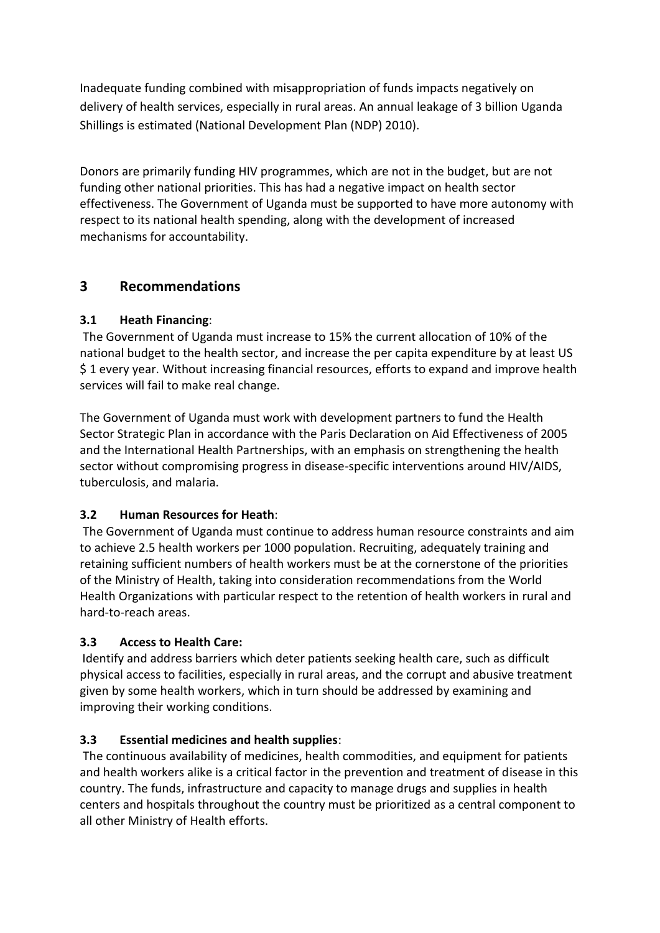Inadequate funding combined with misappropriation of funds impacts negatively on delivery of health services, especially in rural areas. An annual leakage of 3 billion Uganda Shillings is estimated (National Development Plan (NDP) 2010).

Donors are primarily funding HIV programmes, which are not in the budget, but are not funding other national priorities. This has had a negative impact on health sector effectiveness. The Government of Uganda must be supported to have more autonomy with respect to its national health spending, along with the development of increased mechanisms for accountability.

## **3 Recommendations**

### **3.1 Heath Financing**:

The Government of Uganda must increase to 15% the current allocation of 10% of the national budget to the health sector, and increase the per capita expenditure by at least US \$ 1 every year. Without increasing financial resources, efforts to expand and improve health services will fail to make real change.

The Government of Uganda must work with development partners to fund the Health Sector Strategic Plan in accordance with the Paris Declaration on Aid Effectiveness of 2005 and the International Health Partnerships, with an emphasis on strengthening the health sector without compromising progress in disease-specific interventions around HIV/AIDS, tuberculosis, and malaria.

#### **3.2 Human Resources for Heath**:

The Government of Uganda must continue to address human resource constraints and aim to achieve 2.5 health workers per 1000 population. Recruiting, adequately training and retaining sufficient numbers of health workers must be at the cornerstone of the priorities of the Ministry of Health, taking into consideration recommendations from the World Health Organizations with particular respect to the retention of health workers in rural and hard-to-reach areas.

#### **3.3 Access to Health Care:**

Identify and address barriers which deter patients seeking health care, such as difficult physical access to facilities, especially in rural areas, and the corrupt and abusive treatment given by some health workers, which in turn should be addressed by examining and improving their working conditions.

## **3.3 Essential medicines and health supplies**:

The continuous availability of medicines, health commodities, and equipment for patients and health workers alike is a critical factor in the prevention and treatment of disease in this country. The funds, infrastructure and capacity to manage drugs and supplies in health centers and hospitals throughout the country must be prioritized as a central component to all other Ministry of Health efforts.